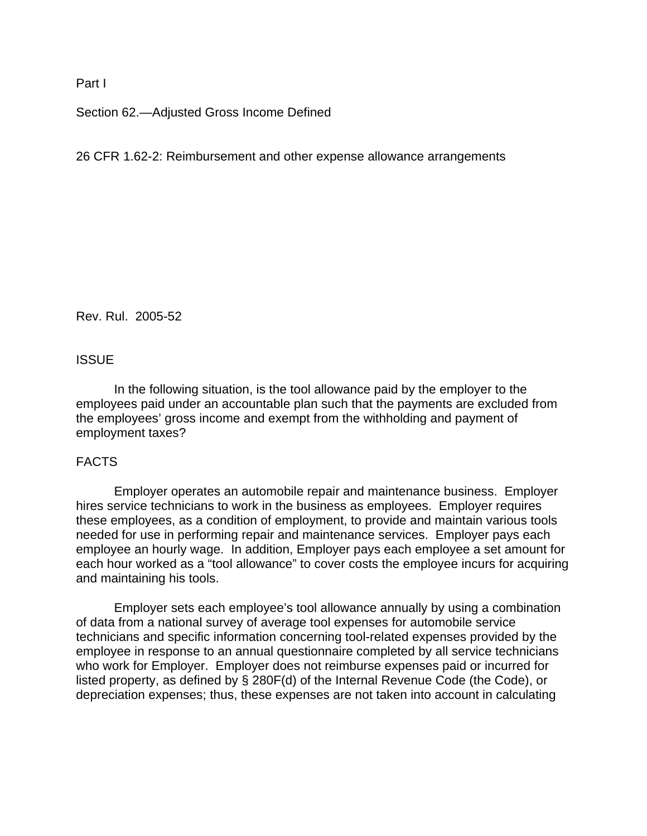## Part I

Section 62.—Adjusted Gross Income Defined

# 26 CFR 1.62-2: Reimbursement and other expense allowance arrangements

Rev. Rul. 2005-52

# **ISSUE**

In the following situation, is the tool allowance paid by the employer to the employees paid under an accountable plan such that the payments are excluded from the employees' gross income and exempt from the withholding and payment of employment taxes?

## FACTS

Employer operates an automobile repair and maintenance business. Employer hires service technicians to work in the business as employees. Employer requires these employees, as a condition of employment, to provide and maintain various tools needed for use in performing repair and maintenance services. Employer pays each employee an hourly wage. In addition, Employer pays each employee a set amount for each hour worked as a "tool allowance" to cover costs the employee incurs for acquiring and maintaining his tools.

 Employer sets each employee's tool allowance annually by using a combination of data from a national survey of average tool expenses for automobile service technicians and specific information concerning tool-related expenses provided by the employee in response to an annual questionnaire completed by all service technicians who work for Employer. Employer does not reimburse expenses paid or incurred for listed property, as defined by § 280F(d) of the Internal Revenue Code (the Code), or depreciation expenses; thus, these expenses are not taken into account in calculating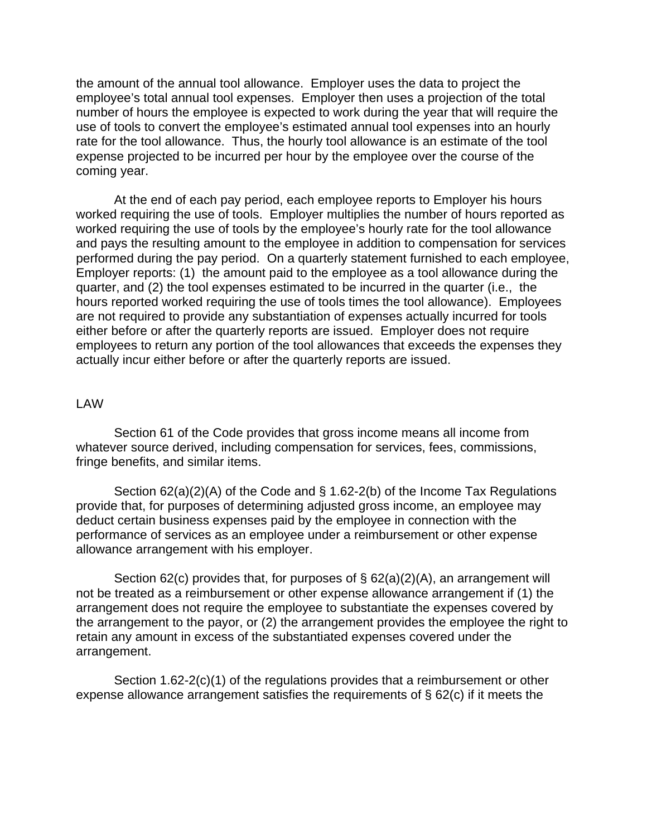the amount of the annual tool allowance. Employer uses the data to project the employee's total annual tool expenses. Employer then uses a projection of the total number of hours the employee is expected to work during the year that will require the use of tools to convert the employee's estimated annual tool expenses into an hourly rate for the tool allowance. Thus, the hourly tool allowance is an estimate of the tool expense projected to be incurred per hour by the employee over the course of the coming year.

At the end of each pay period, each employee reports to Employer his hours worked requiring the use of tools. Employer multiplies the number of hours reported as worked requiring the use of tools by the employee's hourly rate for the tool allowance and pays the resulting amount to the employee in addition to compensation for services performed during the pay period. On a quarterly statement furnished to each employee, Employer reports: (1) the amount paid to the employee as a tool allowance during the quarter, and (2) the tool expenses estimated to be incurred in the quarter (i.e., the hours reported worked requiring the use of tools times the tool allowance). Employees are not required to provide any substantiation of expenses actually incurred for tools either before or after the quarterly reports are issued. Employer does not require employees to return any portion of the tool allowances that exceeds the expenses they actually incur either before or after the quarterly reports are issued.

#### LAW

Section 61 of the Code provides that gross income means all income from whatever source derived, including compensation for services, fees, commissions, fringe benefits, and similar items.

Section 62(a)(2)(A) of the Code and § 1.62-2(b) of the Income Tax Regulations provide that, for purposes of determining adjusted gross income, an employee may deduct certain business expenses paid by the employee in connection with the performance of services as an employee under a reimbursement or other expense allowance arrangement with his employer.

Section 62(c) provides that, for purposes of § 62(a)(2)(A), an arrangement will not be treated as a reimbursement or other expense allowance arrangement if (1) the arrangement does not require the employee to substantiate the expenses covered by the arrangement to the payor, or (2) the arrangement provides the employee the right to retain any amount in excess of the substantiated expenses covered under the arrangement.

Section 1.62-2(c)(1) of the regulations provides that a reimbursement or other expense allowance arrangement satisfies the requirements of § 62(c) if it meets the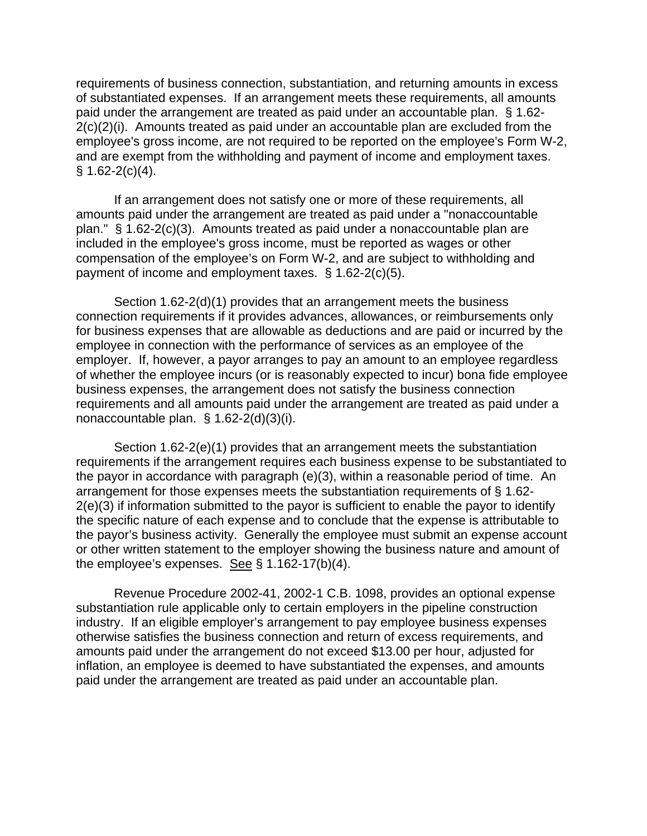requirements of business connection, substantiation, and returning amounts in excess of substantiated expenses. If an arrangement meets these requirements, all amounts paid under the arrangement are treated as paid under an accountable plan. § 1.62- 2(c)(2)(i). Amounts treated as paid under an accountable plan are excluded from the employee's gross income, are not required to be reported on the employee's Form W-2, and are exempt from the withholding and payment of income and employment taxes.  $§ 1.62-2(c)(4).$ 

If an arrangement does not satisfy one or more of these requirements, all amounts paid under the arrangement are treated as paid under a "nonaccountable plan." § 1.62-2(c)(3). Amounts treated as paid under a nonaccountable plan are included in the employee's gross income, must be reported as wages or other compensation of the employee's on Form W-2, and are subject to withholding and payment of income and employment taxes. § 1.62-2(c)(5).

Section 1.62-2(d)(1) provides that an arrangement meets the business connection requirements if it provides advances, allowances, or reimbursements only for business expenses that are allowable as deductions and are paid or incurred by the employee in connection with the performance of services as an employee of the employer. If, however, a payor arranges to pay an amount to an employee regardless of whether the employee incurs (or is reasonably expected to incur) bona fide employee business expenses, the arrangement does not satisfy the business connection requirements and all amounts paid under the arrangement are treated as paid under a nonaccountable plan. § 1.62-2(d)(3)(i).

 Section 1.62-2(e)(1) provides that an arrangement meets the substantiation requirements if the arrangement requires each business expense to be substantiated to the payor in accordance with paragraph (e)(3), within a reasonable period of time. An arrangement for those expenses meets the substantiation requirements of § 1.62- 2(e)(3) if information submitted to the payor is sufficient to enable the payor to identify the specific nature of each expense and to conclude that the expense is attributable to the payor's business activity. Generally the employee must submit an expense account or other written statement to the employer showing the business nature and amount of the employee's expenses. See § 1.162-17(b)(4).

 Revenue Procedure 2002-41, 2002-1 C.B. 1098, provides an optional expense substantiation rule applicable only to certain employers in the pipeline construction industry. If an eligible employer's arrangement to pay employee business expenses otherwise satisfies the business connection and return of excess requirements, and amounts paid under the arrangement do not exceed \$13.00 per hour, adjusted for inflation, an employee is deemed to have substantiated the expenses, and amounts paid under the arrangement are treated as paid under an accountable plan.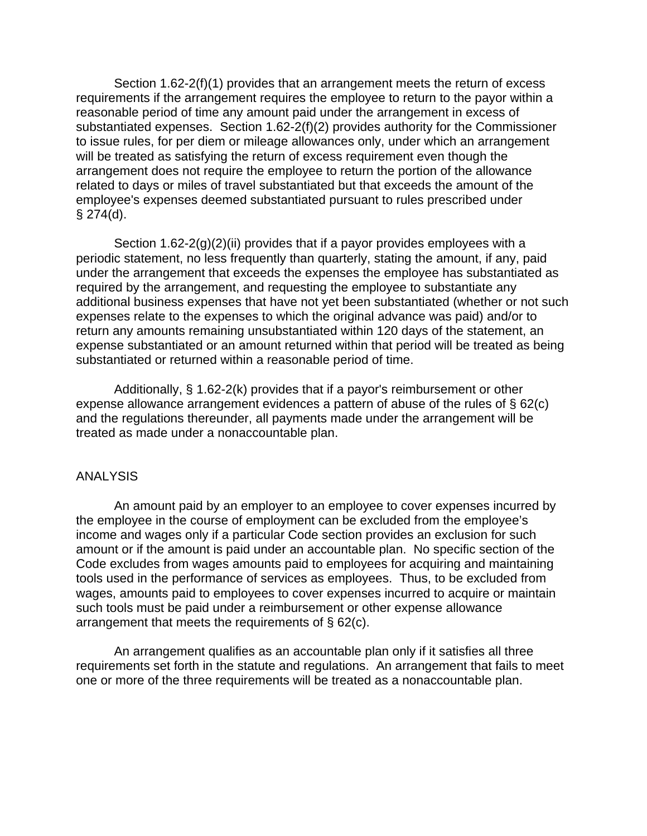Section 1.62-2(f)(1) provides that an arrangement meets the return of excess requirements if the arrangement requires the employee to return to the payor within a reasonable period of time any amount paid under the arrangement in excess of substantiated expenses. Section 1.62-2(f)(2) provides authority for the Commissioner to issue rules, for per diem or mileage allowances only, under which an arrangement will be treated as satisfying the return of excess requirement even though the arrangement does not require the employee to return the portion of the allowance related to days or miles of travel substantiated but that exceeds the amount of the employee's expenses deemed substantiated pursuant to rules prescribed under  $§$  274(d).

Section  $1.62-2(g)(2)(ii)$  provides that if a payor provides employees with a periodic statement, no less frequently than quarterly, stating the amount, if any, paid under the arrangement that exceeds the expenses the employee has substantiated as required by the arrangement, and requesting the employee to substantiate any additional business expenses that have not yet been substantiated (whether or not such expenses relate to the expenses to which the original advance was paid) and/or to return any amounts remaining unsubstantiated within 120 days of the statement, an expense substantiated or an amount returned within that period will be treated as being substantiated or returned within a reasonable period of time.

Additionally, § 1.62-2(k) provides that if a payor's reimbursement or other expense allowance arrangement evidences a pattern of abuse of the rules of § 62(c) and the regulations thereunder, all payments made under the arrangement will be treated as made under a nonaccountable plan.

# ANALYSIS

An amount paid by an employer to an employee to cover expenses incurred by the employee in the course of employment can be excluded from the employee's income and wages only if a particular Code section provides an exclusion for such amount or if the amount is paid under an accountable plan. No specific section of the Code excludes from wages amounts paid to employees for acquiring and maintaining tools used in the performance of services as employees. Thus, to be excluded from wages, amounts paid to employees to cover expenses incurred to acquire or maintain such tools must be paid under a reimbursement or other expense allowance arrangement that meets the requirements of § 62(c).

An arrangement qualifies as an accountable plan only if it satisfies all three requirements set forth in the statute and regulations. An arrangement that fails to meet one or more of the three requirements will be treated as a nonaccountable plan.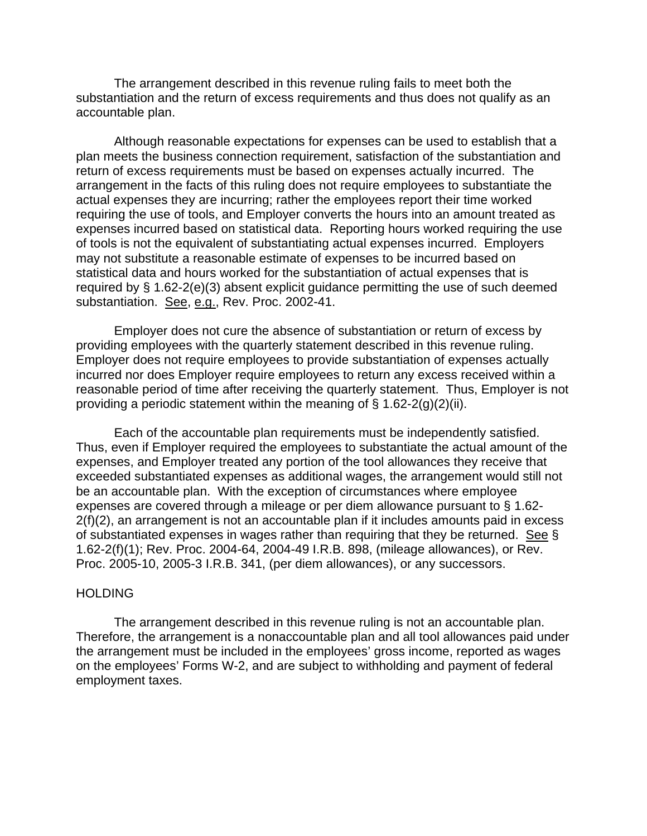The arrangement described in this revenue ruling fails to meet both the substantiation and the return of excess requirements and thus does not qualify as an accountable plan.

Although reasonable expectations for expenses can be used to establish that a plan meets the business connection requirement, satisfaction of the substantiation and return of excess requirements must be based on expenses actually incurred. The arrangement in the facts of this ruling does not require employees to substantiate the actual expenses they are incurring; rather the employees report their time worked requiring the use of tools, and Employer converts the hours into an amount treated as expenses incurred based on statistical data. Reporting hours worked requiring the use of tools is not the equivalent of substantiating actual expenses incurred. Employers may not substitute a reasonable estimate of expenses to be incurred based on statistical data and hours worked for the substantiation of actual expenses that is required by § 1.62-2(e)(3) absent explicit guidance permitting the use of such deemed substantiation. See, e.g., Rev. Proc. 2002-41.

Employer does not cure the absence of substantiation or return of excess by providing employees with the quarterly statement described in this revenue ruling. Employer does not require employees to provide substantiation of expenses actually incurred nor does Employer require employees to return any excess received within a reasonable period of time after receiving the quarterly statement. Thus, Employer is not providing a periodic statement within the meaning of  $\S$  1.62-2(g)(2)(ii).

Each of the accountable plan requirements must be independently satisfied. Thus, even if Employer required the employees to substantiate the actual amount of the expenses, and Employer treated any portion of the tool allowances they receive that exceeded substantiated expenses as additional wages, the arrangement would still not be an accountable plan. With the exception of circumstances where employee expenses are covered through a mileage or per diem allowance pursuant to § 1.62- 2(f)(2), an arrangement is not an accountable plan if it includes amounts paid in excess of substantiated expenses in wages rather than requiring that they be returned. See § 1.62-2(f)(1); Rev. Proc. 2004-64, 2004-49 I.R.B. 898, (mileage allowances), or Rev. Proc. 2005-10, 2005-3 I.R.B. 341, (per diem allowances), or any successors.

#### HOLDING

The arrangement described in this revenue ruling is not an accountable plan. Therefore, the arrangement is a nonaccountable plan and all tool allowances paid under the arrangement must be included in the employees' gross income, reported as wages on the employees' Forms W-2, and are subject to withholding and payment of federal employment taxes.